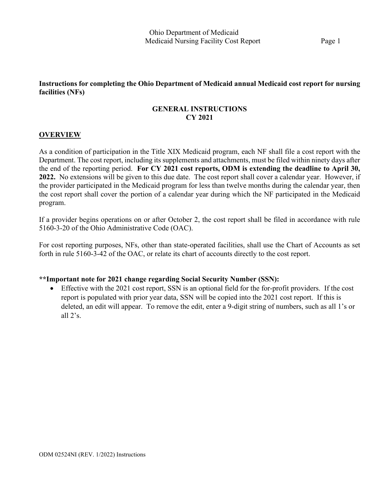# **Instructions for completing the Ohio Department of Medicaid annual Medicaid cost report for nursing facilities (NFs)**

# **GENERAL INSTRUCTIONS CY 2021**

# **OVERVIEW**

As a condition of participation in the Title XIX Medicaid program, each NF shall file a cost report with the Department. The cost report, including its supplements and attachments, must be filed within ninety days after the end of the reporting period. **For CY 2021 cost reports, ODM is extending the deadline to April 30, 2022.** No extensions will be given to this due date. The cost report shall cover a calendar year. However, if the provider participated in the Medicaid program for less than twelve months during the calendar year, then the cost report shall cover the portion of a calendar year during which the NF participated in the Medicaid program.

If a provider begins operations on or after October 2, the cost report shall be filed in accordance with rule 5160-3-20 of the Ohio Administrative Code (OAC).

For cost reporting purposes, NFs, other than state-operated facilities, shall use the Chart of Accounts as set forth in rule 5160-3-42 of the OAC, or relate its chart of accounts directly to the cost report.

## **\*\*Important note for 2021 change regarding Social Security Number (SSN):**

• Effective with the 2021 cost report, SSN is an optional field for the for-profit providers. If the cost report is populated with prior year data, SSN will be copied into the 2021 cost report. If this is deleted, an edit will appear. To remove the edit, enter a 9-digit string of numbers, such as all 1's or all  $2's$ .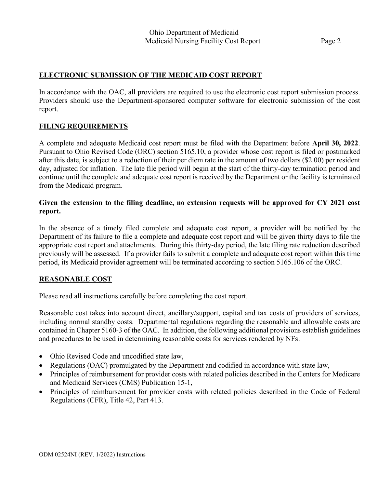# **ELECTRONIC SUBMISSION OF THE MEDICAID COST REPORT**

In accordance with the OAC, all providers are required to use the electronic cost report submission process. Providers should use the Department-sponsored computer software for electronic submission of the cost report.

# **FILING REQUIREMENTS**

A complete and adequate Medicaid cost report must be filed with the Department before **April 30, 2022**. Pursuant to Ohio Revised Code (ORC) section 5165.10, a provider whose cost report is filed or postmarked after this date, is subject to a reduction of their per diem rate in the amount of two dollars (\$2.00) per resident day, adjusted for inflation. The late file period will begin at the start of the thirty-day termination period and continue until the complete and adequate cost report is received by the Department or the facility is terminated from the Medicaid program.

# **Given the extension to the filing deadline, no extension requests will be approved for CY 2021 cost report.**

In the absence of a timely filed complete and adequate cost report, a provider will be notified by the Department of its failure to file a complete and adequate cost report and will be given thirty days to file the appropriate cost report and attachments. During this thirty-day period, the late filing rate reduction described previously will be assessed. If a provider fails to submit a complete and adequate cost report within this time period, its Medicaid provider agreement will be terminated according to section 5165.106 of the ORC.

# **REASONABLE COST**

Please read all instructions carefully before completing the cost report.

Reasonable cost takes into account direct, ancillary/support, capital and tax costs of providers of services, including normal standby costs. Departmental regulations regarding the reasonable and allowable costs are contained in Chapter 5160-3 of the OAC. In addition, the following additional provisions establish guidelines and procedures to be used in determining reasonable costs for services rendered by NFs:

- Ohio Revised Code and uncodified state law,
- Regulations (OAC) promulgated by the Department and codified in accordance with state law,
- Principles of reimbursement for provider costs with related policies described in the Centers for Medicare and Medicaid Services (CMS) Publication 15-1,
- Principles of reimbursement for provider costs with related policies described in the Code of Federal Regulations (CFR), Title 42, Part 413.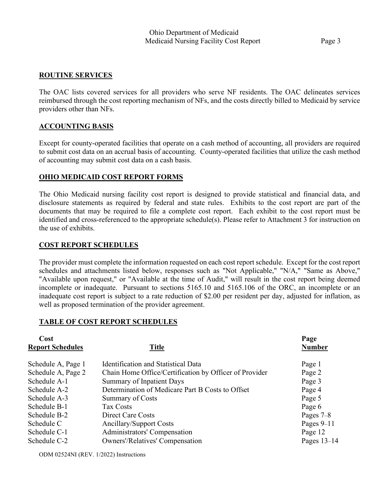# **ROUTINE SERVICES**

The OAC lists covered services for all providers who serve NF residents. The OAC delineates services reimbursed through the cost reporting mechanism of NFs, and the costs directly billed to Medicaid by service providers other than NFs.

# **ACCOUNTING BASIS**

Except for county-operated facilities that operate on a cash method of accounting, all providers are required to submit cost data on an accrual basis of accounting. County-operated facilities that utilize the cash method of accounting may submit cost data on a cash basis.

# **OHIO MEDICAID COST REPORT FORMS**

The Ohio Medicaid nursing facility cost report is designed to provide statistical and financial data, and disclosure statements as required by federal and state rules. Exhibits to the cost report are part of the documents that may be required to file a complete cost report. Each exhibit to the cost report must be identified and cross-referenced to the appropriate schedule(s). Please refer to Attachment 3 for instruction on the use of exhibits.

# **COST REPORT SCHEDULES**

The provider must complete the information requested on each cost report schedule. Except for the cost report schedules and attachments listed below, responses such as "Not Applicable," "N/A," "Same as Above," "Available upon request," or "Available at the time of Audit," will result in the cost report being deemed incomplete or inadequate. Pursuant to sections 5165.10 and 5165.106 of the ORC, an incomplete or an inadequate cost report is subject to a rate reduction of \$2.00 per resident per day, adjusted for inflation, as well as proposed termination of the provider agreement.

# **TABLE OF COST REPORT SCHEDULES**

| Cost                    |                                                        | Page          |
|-------------------------|--------------------------------------------------------|---------------|
| <b>Report Schedules</b> | <b>Title</b>                                           | <b>Number</b> |
| Schedule A, Page 1      | <b>Identification and Statistical Data</b>             | Page 1        |
| Schedule A, Page 2      | Chain Home Office/Certification by Officer of Provider | Page 2        |
| Schedule A-1            | Summary of Inpatient Days                              | Page 3        |
| Schedule A-2            | Determination of Medicare Part B Costs to Offset       | Page 4        |
| Schedule A-3            | <b>Summary of Costs</b>                                | Page 5        |
| Schedule B-1            | <b>Tax Costs</b>                                       | Page 6        |
| Schedule B-2            | Direct Care Costs                                      | Pages $7-8$   |
| Schedule C              | <b>Ancillary/Support Costs</b>                         | Pages $9-11$  |
| Schedule C-1            | Administrators' Compensation                           | Page 12       |
| Schedule C-2            | <b>Owners'/Relatives' Compensation</b>                 | Pages $13-14$ |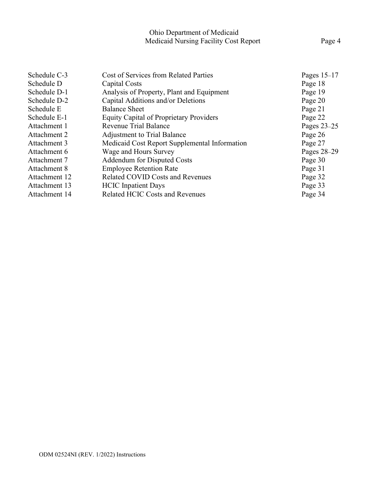| Schedule C-3  | Cost of Services from Related Parties          | Pages $15-17$ |
|---------------|------------------------------------------------|---------------|
| Schedule D    | Capital Costs                                  | Page 18       |
| Schedule D-1  | Analysis of Property, Plant and Equipment      | Page 19       |
| Schedule D-2  | Capital Additions and/or Deletions             | Page 20       |
| Schedule E    | <b>Balance Sheet</b>                           | Page 21       |
| Schedule E-1  | <b>Equity Capital of Proprietary Providers</b> | Page 22       |
| Attachment 1  | Revenue Trial Balance                          | Pages $23-25$ |
| Attachment 2  | <b>Adjustment to Trial Balance</b>             | Page 26       |
| Attachment 3  | Medicaid Cost Report Supplemental Information  | Page 27       |
| Attachment 6  | Wage and Hours Survey                          | Pages 28-29   |
| Attachment 7  | Addendum for Disputed Costs                    | Page 30       |
| Attachment 8  | <b>Employee Retention Rate</b>                 | Page 31       |
| Attachment 12 | <b>Related COVID Costs and Revenues</b>        | Page 32       |
| Attachment 13 | <b>HCIC</b> Inpatient Days                     | Page 33       |
| Attachment 14 | <b>Related HCIC Costs and Revenues</b>         | Page 34       |
|               |                                                |               |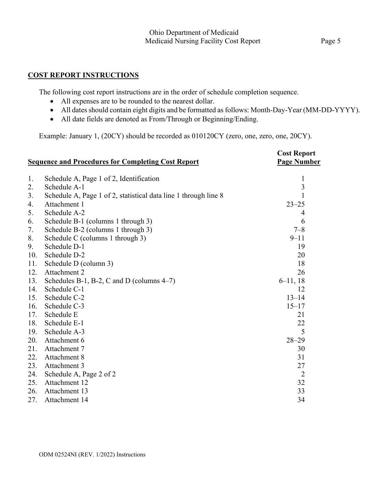# **COST REPORT INSTRUCTIONS**

The following cost report instructions are in the order of schedule completion sequence.

- All expenses are to be rounded to the nearest dollar.
- All dates should contain eight digits and be formatted as follows: Month-Day-Year (MM-DD-YYYY).
- All date fields are denoted as From/Through or Beginning/Ending.

Example: January 1, (20CY) should be recorded as 010120CY (zero, one, zero, one, 20CY).

|     | <b>Sequence and Procedures for Completing Cost Report</b>       | <b>Cost Report</b><br><b>Page Number</b> |
|-----|-----------------------------------------------------------------|------------------------------------------|
| 1.  | Schedule A, Page 1 of 2, Identification                         | $\mathbf{1}$                             |
| 2.  | Schedule A-1                                                    | $\overline{3}$                           |
| 3.  | Schedule A, Page 1 of 2, statistical data line 1 through line 8 | 1                                        |
| 4.  | Attachment 1                                                    | $23 - 25$                                |
| 5.  | Schedule A-2                                                    | 4                                        |
| 6.  | Schedule B-1 (columns 1 through 3)                              | 6                                        |
| 7.  | Schedule B-2 (columns 1 through 3)                              | $7 - 8$                                  |
| 8.  | Schedule C (columns 1 through 3)                                | $9 - 11$                                 |
| 9.  | Schedule D-1                                                    | 19                                       |
| 10. | Schedule D-2                                                    | 20                                       |
| 11. | Schedule D (column 3)                                           | 18                                       |
| 12. | Attachment 2                                                    | 26                                       |
| 13. | Schedules B-1, B-2, C and D (columns $4-7$ )                    | $6-11, 18$                               |
| 14. | Schedule C-1                                                    | 12                                       |
| 15. | Schedule C-2                                                    | $13 - 14$                                |
| 16. | Schedule C-3                                                    | $15 - 17$                                |
| 17. | Schedule E                                                      | 21                                       |
| 18. | Schedule E-1                                                    | 22                                       |
| 19. | Schedule A-3                                                    | 5                                        |
| 20. | Attachment 6                                                    | $28 - 29$                                |
| 21. | Attachment 7                                                    | 30                                       |
| 22. | Attachment 8                                                    | 31                                       |
| 23. | Attachment 3                                                    | 27                                       |
| 24. | Schedule A, Page 2 of 2                                         | $\overline{2}$                           |
| 25. | Attachment 12                                                   | 32                                       |
| 26. | Attachment 13                                                   | 33                                       |
| 27. | Attachment 14                                                   | 34                                       |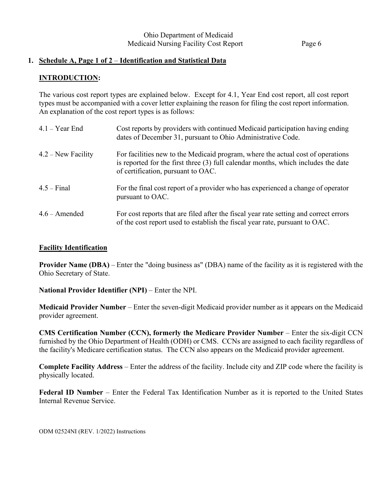# **1. Schedule A, Page 1 of 2** – **Identification and Statistical Data**

# **INTRODUCTION:**

The various cost report types are explained below. Except for 4.1, Year End cost report, all cost report types must be accompanied with a cover letter explaining the reason for filing the cost report information. An explanation of the cost report types is as follows:

| $4.1 - Year$ End     | Cost reports by providers with continued Medicaid participation having ending<br>dates of December 31, pursuant to Ohio Administrative Code.                                                               |
|----------------------|------------------------------------------------------------------------------------------------------------------------------------------------------------------------------------------------------------|
| $4.2$ – New Facility | For facilities new to the Medicaid program, where the actual cost of operations<br>is reported for the first three (3) full calendar months, which includes the date<br>of certification, pursuant to OAC. |
| $4.5 - Final$        | For the final cost report of a provider who has experienced a change of operator<br>pursuant to OAC.                                                                                                       |
| $4.6$ – Amended      | For cost reports that are filed after the fiscal year rate setting and correct errors<br>of the cost report used to establish the fiscal year rate, pursuant to OAC.                                       |

## **Facility Identification**

**Provider Name (DBA)** – Enter the "doing business as" (DBA) name of the facility as it is registered with the Ohio Secretary of State.

**National Provider Identifier (NPI)** – Enter the NPI.

**Medicaid Provider Number** – Enter the seven-digit Medicaid provider number as it appears on the Medicaid provider agreement.

**CMS Certification Number (CCN), formerly the Medicare Provider Number** – Enter the six-digit CCN furnished by the Ohio Department of Health (ODH) or CMS. CCNs are assigned to each facility regardless of the facility's Medicare certification status. The CCN also appears on the Medicaid provider agreement.

**Complete Facility Address** – Enter the address of the facility. Include city and ZIP code where the facility is physically located.

**Federal ID Number** – Enter the Federal Tax Identification Number as it is reported to the United States Internal Revenue Service.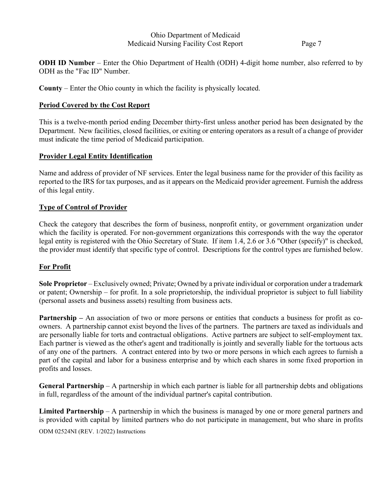**ODH ID Number** – Enter the Ohio Department of Health (ODH) 4-digit home number, also referred to by ODH as the "Fac ID" Number.

**County** – Enter the Ohio county in which the facility is physically located.

# **Period Covered by the Cost Report**

This is a twelve-month period ending December thirty-first unless another period has been designated by the Department. New facilities, closed facilities, or exiting or entering operators as a result of a change of provider must indicate the time period of Medicaid participation.

# **Provider Legal Entity Identification**

Name and address of provider of NF services. Enter the legal business name for the provider of this facility as reported to the IRS for tax purposes, and as it appears on the Medicaid provider agreement. Furnish the address of this legal entity.

# **Type of Control of Provider**

Check the category that describes the form of business, nonprofit entity, or government organization under which the facility is operated. For non-government organizations this corresponds with the way the operator legal entity is registered with the Ohio Secretary of State. If item 1.4, 2.6 or 3.6 "Other (specify)" is checked, the provider must identify that specific type of control. Descriptions for the control types are furnished below.

# **For Profit**

**Sole Proprietor** – Exclusively owned; Private; Owned by a private individual or corporation under a trademark or patent; Ownership – for profit. In a sole proprietorship, the individual proprietor is subject to full liability (personal assets and business assets) resulting from business acts.

**Partnership** – An association of two or more persons or entities that conducts a business for profit as coowners. A partnership cannot exist beyond the lives of the partners. The partners are taxed as individuals and are personally liable for torts and contractual obligations. Active partners are subject to self-employment tax. Each partner is viewed as the other's agent and traditionally is jointly and severally liable for the tortuous acts of any one of the partners. A contract entered into by two or more persons in which each agrees to furnish a part of the capital and labor for a business enterprise and by which each shares in some fixed proportion in profits and losses.

**General Partnership** – A partnership in which each partner is liable for all partnership debts and obligations in full, regardless of the amount of the individual partner's capital contribution.

ODM 02524NI (REV. 1/2022) Instructions **Limited Partnership** – A partnership in which the business is managed by one or more general partners and is provided with capital by limited partners who do not participate in management, but who share in profits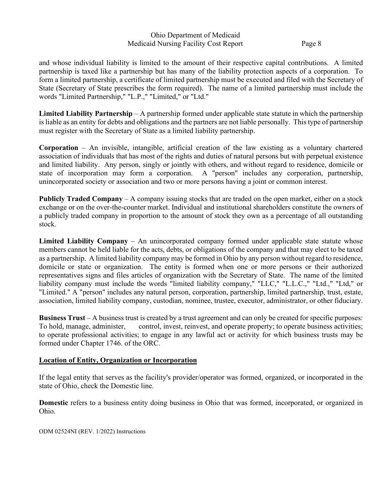and whose individual liability is limited to the amount of their respective capital contributions. A limited partnership is taxed like a partnership but has many of the liability protection aspects of a corporation. To form a limited partnership, a certificate of limited partnership must be executed and filed with the Secretary of State (Secretary of State prescribes the form required). The name of a limited partnership must include the words "Limited Partnership," "L.P.," "Limited," or "Ltd."

**Limited Liability Partnership** – A partnership formed under applicable state statute in which the partnership is liable as an entity for debts and obligations and the partners are not liable personally. This type of partnership must register with the Secretary of State as a limited liability partnership.

**Corporation** – An invisible, intangible, artificial creation of the law existing as a voluntary chartered association of individuals that has most of the rights and duties of natural persons but with perpetual existence and limited liability. Any person, singly or jointly with others, and without regard to residence, domicile or state of incorporation may form a corporation. A "person" includes any corporation, partnership, unincorporated society or association and two or more persons having a joint or common interest.

**Publicly Traded Company** – A company issuing [stocks](http://financial-dictionary.thefreedictionary.com/Stocks) that are [traded](http://financial-dictionary.thefreedictionary.com/Trades) on the open [market,](http://financial-dictionary.thefreedictionary.com/Market) either on a [stock](http://financial-dictionary.thefreedictionary.com/Stock+Exchange)  [exchange](http://financial-dictionary.thefreedictionary.com/Stock+Exchange) or on the [over-the-counter](http://financial-dictionary.thefreedictionary.com/Over-the-Counter) market. Individual and institutional [shareholders](http://financial-dictionary.thefreedictionary.com/Shareholders) constitute the [owners](http://financial-dictionary.thefreedictionary.com/Owners) of a publicly traded company in proportion to the amount of stock they own as a percentage of all [outstanding](http://financial-dictionary.thefreedictionary.com/Outstanding+Stock)  [stock.](http://financial-dictionary.thefreedictionary.com/Outstanding+Stock)

Limited Liability Company – An unincorporated company formed under applicable state statute whose members cannot be held liable for the acts, debts, or obligations of the company and that may elect to be taxed as a partnership. A limited liability company may be formed in Ohio by any person without regard to residence, domicile or state or organization. The entity is formed when one or more persons or their authorized representatives signs and files articles of organization with the Secretary of State. The name of the limited liability company must include the words "limited liability company," "LLC," "L.L.C.," "Ltd.," "Ltd," or "Limited." A "person" includes any natural person, corporation, partnership, limited partnership, trust, estate, association, limited liability company, custodian, nominee, trustee, executor, administrator, or other fiduciary.

**Business Trust** – A business trust is created by a trust agreement and can only be created for specific purposes: To hold, manage, administer, control, invest, reinvest, and operate property; to operate business activities; to operate professional activities; to engage in any lawful act or activity for which business trusts may be formed under Chapter 1746. of the ORC.

## **Location of Entity, Organization or Incorporation**

If the legal entity that serves as the facility's provider/operator was formed, organized, or incorporated in the state of Ohio, check the Domestic line.

**Domestic** refers to a business entity doing business in Ohio that was formed, incorporated, or organized in Ohio.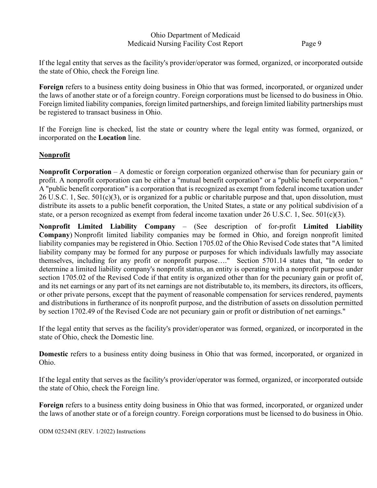If the legal entity that serves as the facility's provider/operator was formed, organized, or incorporated outside the state of Ohio, check the Foreign line.

**Foreign** refers to a business entity doing business in Ohio that was formed, incorporated, or organized under the laws of another state or of a foreign country. Foreign corporations must be licensed to do business in Ohio. Foreign limited liability companies, foreign limited partnerships, and foreign limited liability partnerships must be registered to transact business in Ohio.

If the Foreign line is checked, list the state or country where the legal entity was formed, organized, or incorporated on the **Location** line.

# **Nonprofit**

**Nonprofit Corporation** – A domestic or foreign corporation organized otherwise than for pecuniary gain or profit. A nonprofit corporation can be either a "mutual benefit corporation" or a "public benefit corporation." A "public benefit corporation" is a corporation that is recognized as exempt from federal income taxation under  $26$  U.S.C. 1, Sec.  $501(c)(3)$ , or is organized for a public or charitable purpose and that, upon dissolution, must distribute its assets to a public benefit corporation, the United States, a state or any political subdivision of a state, or a person recognized as exempt from federal income taxation under 26 U.S.C. 1, Sec. 501(c)(3).

**Nonprofit Limited Liability Company** – (See description of for-profit **Limited Liability Company**) Nonprofit limited liability companies may be formed in Ohio, and foreign nonprofit limited liability companies may be registered in Ohio. Sectio[n 1705.02](http://codes.ohio.gov/orc/1705.02) of the Ohio Revised Code states that "A limited liability company may be formed for any purpose or purposes for which individuals lawfully may associate themselves, including for any profit or nonprofit purpose…." Section 5701.14 states that, "In order to determine a limited liability company's nonprofit status, an entity is operating with a nonprofit purpose under section [1705.02](http://codes.ohio.gov/orc/1705.02) of the Revised Code if that entity is organized other than for the pecuniary gain or profit of, and its net earnings or any part of its net earnings are not distributable to, its members, its directors, its officers, or other private persons, except that the payment of reasonable compensation for services rendered, payments and distributions in furtherance of its nonprofit purpose, and the distribution of assets on dissolution permitted by section [1702.49](http://codes.ohio.gov/orc/1702.49) of the Revised Code are not pecuniary gain or profit or distribution of net earnings."

If the legal entity that serves as the facility's provider/operator was formed, organized, or incorporated in the state of Ohio, check the Domestic line.

**Domestic** refers to a business entity doing business in Ohio that was formed, incorporated, or organized in Ohio.

If the legal entity that serves as the facility's provider/operator was formed, organized, or incorporated outside the state of Ohio, check the Foreign line.

**Foreign** refers to a business entity doing business in Ohio that was formed, incorporated, or organized under the laws of another state or of a foreign country. Foreign corporations must be licensed to do business in Ohio.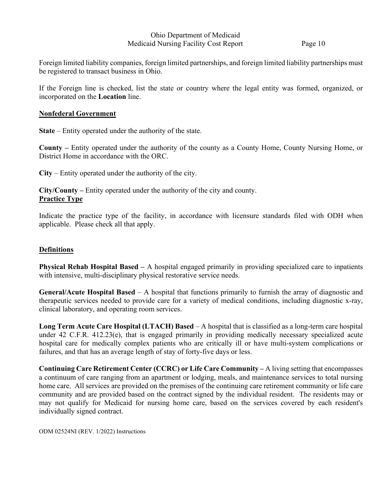Foreign limited liability companies, foreign limited partnerships, and foreign limited liability partnerships must be registered to transact business in Ohio.

If the Foreign line is checked, list the state or country where the legal entity was formed, organized, or incorporated on the **Location** line.

## **Nonfederal Government**

**State** – Entity operated under the authority of the state.

**County –** Entity operated under the authority of the county as a County Home, County Nursing Home, or District Home in accordance with the ORC.

**City** – Entity operated under the authority of the city.

**City/County –** Entity operated under the authority of the city and county. **Practice Type**

Indicate the practice type of the facility, in accordance with licensure standards filed with ODH when applicable. Please check all that apply.

# **Definitions**

**Physical Rehab Hospital Based –** A hospital engaged primarily in providing specialized care to inpatients with intensive, multi-disciplinary physical restorative service needs.

**General/Acute Hospital Based** – A hospital that functions primarily to furnish the array of diagnostic and therapeutic services needed to provide care for a variety of medical conditions, including diagnostic x-ray, clinical laboratory, and operating room services.

**Long Term Acute Care Hospital (LTACH) Based** – A hospital that is classified as a long-term care hospital under 42 C.F.R. 412.23(e), that is engaged primarily in providing medically necessary specialized acute hospital care for medically complex patients who are critically ill or have multi-system complications or failures, and that has an average length of stay of forty-five days or less.

**Continuing Care Retirement Center (CCRC) or Life Care Community –** A living setting that encompasses a continuum of care ranging from an apartment or lodging, meals, and maintenance services to total nursing home care. All services are provided on the premises of the continuing care retirement community or life care community and are provided based on the contract signed by the individual resident. The residents may or may not qualify for Medicaid for nursing home care, based on the services covered by each resident's individually signed contract.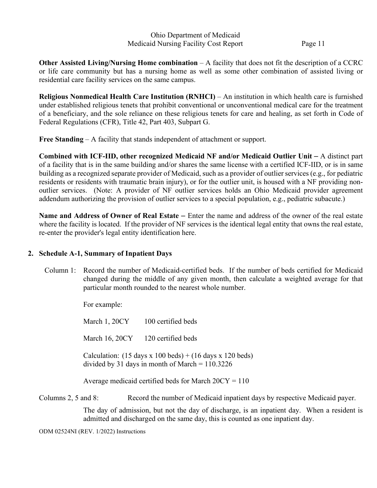**Other Assisted Living/Nursing Home combination** – A facility that does not fit the description of a CCRC or life care community but has a nursing home as well as some other combination of assisted living or residential care facility services on the same campus.

**Religious Nonmedical Health Care Institution (RNHCI)** – An institution in which health care is furnished under established religious tenets that prohibit conventional or unconventional medical care for the treatment of a beneficiary, and the sole reliance on these religious tenets for care and healing, as set forth in Code of Federal Regulations (CFR), Title 42, Part 403, Subpart G.

**Free Standing** – A facility that stands independent of attachment or support.

**Combined with ICF-IID, other recognized Medicaid NF and/or Medicaid Outlier Unit** – A distinct part of a facility that is in the same building and/or shares the same license with a certified ICF-IID, or is in same building as a recognized separate provider of Medicaid, such as a provider of outlier services (e.g., for pediatric residents or residents with traumatic brain injury), or for the outlier unit, is housed with a NF providing nonoutlier services. (Note: A provider of NF outlier services holds an Ohio Medicaid provider agreement addendum authorizing the provision of outlier services to a special population, e.g., pediatric subacute.)

**Name and Address of Owner of Real Estate** – Enter the name and address of the owner of the real estate where the facility is located. If the provider of NF services is the identical legal entity that owns the real estate, re-enter the provider's legal entity identification here.

# **2. Schedule A-1, Summary of Inpatient Days**

Column 1: Record the number of Medicaid-certified beds. If the number of beds certified for Medicaid changed during the middle of any given month, then calculate a weighted average for that particular month rounded to the nearest whole number.

For example:

March 1, 20CY 100 certified beds

March 16, 20CY 120 certified beds

Calculation:  $(15 \text{ days} \times 100 \text{ beds}) + (16 \text{ days} \times 120 \text{ beds})$ divided by 31 days in month of March = 110.3226

Average medicaid certified beds for March  $20CY = 110$ 

Columns 2, 5 and 8: Record the number of Medicaid inpatient days by respective Medicaid payer.

The day of admission, but not the day of discharge, is an inpatient day. When a resident is admitted and discharged on the same day, this is counted as one inpatient day.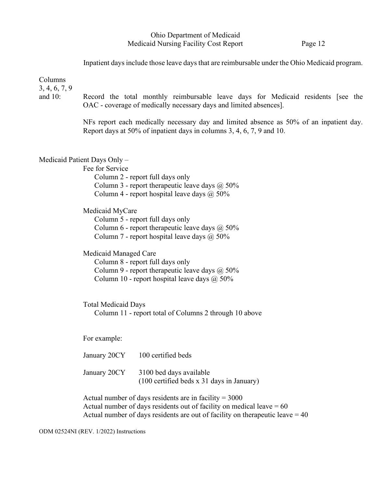Inpatient days include those leave days that are reimbursable under the Ohio Medicaid program.

Columns

3, 4, 6, 7, 9

and 10: Record the total monthly reimbursable leave days for Medicaid residents [see the OAC - coverage of medically necessary days and limited absences].

> NFs report each medically necessary day and limited absence as 50% of an inpatient day. Report days at 50% of inpatient days in columns 3, 4, 6, 7, 9 and 10.

Medicaid Patient Days Only –

Fee for Service Column 2 - report full days only Column 3 - report therapeutic leave days  $\omega$  50% Column 4 - report hospital leave days  $\omega$  50%

Medicaid MyCare Column 5 - report full days only Column 6 - report therapeutic leave days  $\omega$  50% Column 7 - report hospital leave days  $\omega$  50%

Medicaid Managed Care

Column 8 - report full days only Column 9 - report therapeutic leave days  $\omega$  50% Column 10 - report hospital leave days  $\omega$  50%

Total Medicaid Days Column 11 - report total of Columns 2 through 10 above

For example:

| January 20CY | 100 certified beds                                                     |
|--------------|------------------------------------------------------------------------|
| January 20CY | 3100 bed days available<br>$(100$ certified beds x 31 days in January) |

Actual number of days residents are in facility  $= 3000$ Actual number of days residents out of facility on medical leave  $= 60$ Actual number of days residents are out of facility on the rapeutic leave  $= 40$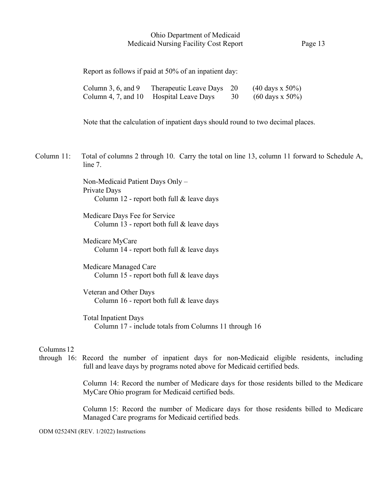Report as follows if paid at 50% of an inpatient day:

| Column 3, 6, and 9 Therapeutic Leave Days $20$ (40 days x 50%) |  |
|----------------------------------------------------------------|--|
| Column 4, 7, and 10 Hospital Leave Days $30$ (60 days x 50%)   |  |

Note that the calculation of inpatient days should round to two decimal places.

 Column 11: Total of columns 2 through 10. Carry the total on line 13, column 11 forward to Schedule A, line 7.

> Non-Medicaid Patient Days Only – Private Days Column 12 - report both full & leave days

> Medicare Days Fee for Service Column 13 - report both full & leave days

> Medicare MyCare Column 14 - report both full & leave days

> Medicare Managed Care Column 15 - report both full & leave days

> Veteran and Other Days Column 16 - report both full & leave days

 Total Inpatient Days Column 17 - include totals from Columns 11 through 16

#### Columns 12

through 16: Record the number of inpatient days for non-Medicaid eligible residents, including full and leave days by programs noted above for Medicaid certified beds.

> Column 14: Record the number of Medicare days for those residents billed to the Medicare MyCare Ohio program for Medicaid certified beds.

> Column 15: Record the number of Medicare days for those residents billed to Medicare Managed Care programs for Medicaid certified beds.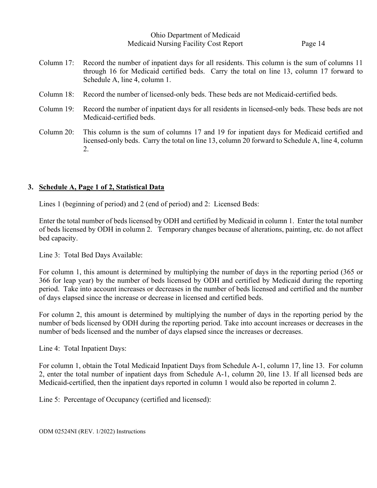Column 17: Record the number of inpatient days for all residents. This column is the sum of columns 11 through 16 for Medicaid certified beds. Carry the total on line 13, column 17 forward to Schedule A, line 4, column 1.

- Column 18: Record the number of licensed-only beds. These beds are not Medicaid-certified beds.
- Column 19: Record the number of inpatient days for all residents in licensed-only beds. These beds are not Medicaid-certified beds.
- Column 20: This column is the sum of columns 17 and 19 for inpatient days for Medicaid certified and licensed-only beds. Carry the total on line 13, column 20 forward to Schedule A, line 4, column 2.

## **3. Schedule A, Page 1 of 2, Statistical Data**

Lines 1 (beginning of period) and 2 (end of period) and 2: Licensed Beds:

Enter the total number of beds licensed by ODH and certified by Medicaid in column 1. Enter the total number of beds licensed by ODH in column 2. Temporary changes because of alterations, painting, etc. do not affect bed capacity.

Line 3: Total Bed Days Available:

For column 1, this amount is determined by multiplying the number of days in the reporting period (365 or 366 for leap year) by the number of beds licensed by ODH and certified by Medicaid during the reporting period. Take into account increases or decreases in the number of beds licensed and certified and the number of days elapsed since the increase or decrease in licensed and certified beds.

For column 2, this amount is determined by multiplying the number of days in the reporting period by the number of beds licensed by ODH during the reporting period. Take into account increases or decreases in the number of beds licensed and the number of days elapsed since the increases or decreases.

Line 4: Total Inpatient Days:

For column 1, obtain the Total Medicaid Inpatient Days from Schedule A-1, column 17, line 13. For column 2, enter the total number of inpatient days from Schedule A-1, column 20, line 13. If all licensed beds are Medicaid-certified, then the inpatient days reported in column 1 would also be reported in column 2.

Line 5: Percentage of Occupancy (certified and licensed):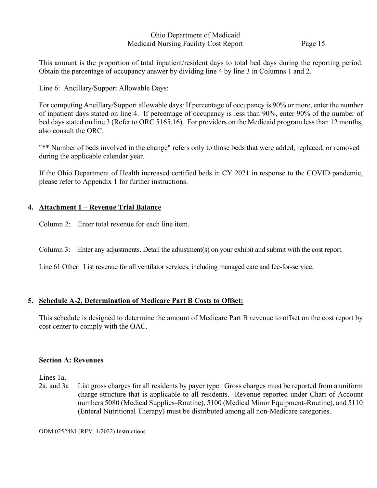This amount is the proportion of total inpatient/resident days to total bed days during the reporting period. Obtain the percentage of occupancy answer by dividing line 4 by line 3 in Columns 1 and 2.

Line 6: Ancillary/Support Allowable Days:

For computing Ancillary/Support allowable days: If percentage of occupancy is 90% or more, enter the number of inpatient days stated on line 4. If percentage of occupancy is less than 90%, enter 90% of the number of bed days stated on line 3 (Refer to ORC 5165.16). For providers on the Medicaid program less than 12 months, also consult the ORC.

"\*\* Number of beds involved in the change" refers only to those beds that were added, replaced, or removed during the applicable calendar year.

If the Ohio Department of Health increased certified beds in CY 2021 in response to the COVID pandemic, please refer to Appendix 1 for further instructions.

# **4. Attachment 1** – **Revenue Trial Balance**

Column 2: Enter total revenue for each line item.

Column 3: Enter any adjustments. Detail the adjustment(s) on your exhibit and submit with the cost report.

Line 61 Other: List revenue for all ventilator services, including managed care and fee-for-service.

# **5. Schedule A-2, Determination of Medicare Part B Costs to Offset:**

This schedule is designed to determine the amount of Medicare Part B revenue to offset on the cost report by cost center to comply with the OAC.

# **Section A: Revenues**

Lines 1a,

2a, and 3a List gross charges for all residents by payer type. Gross charges must be reported from a uniform charge structure that is applicable to all residents. Revenue reported under Chart of Account numbers 5080 (Medical Supplies–Routine), 5100 (Medical Minor Equipment–Routine), and 5110 (Enteral Nutritional Therapy) must be distributed among all non-Medicare categories.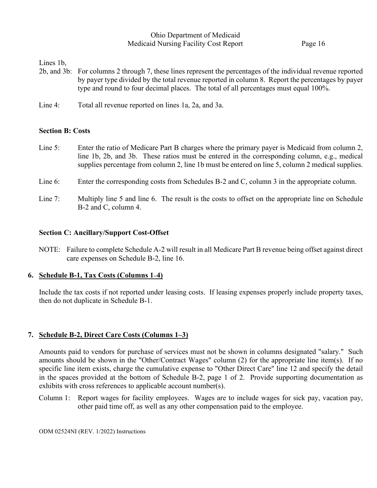Lines 1b,

- 2b, and 3b: For columns 2 through 7, these lines represent the percentages of the individual revenue reported by payer type divided by the total revenue reported in column 8. Report the percentages by payer type and round to four decimal places. The total of all percentages must equal 100%.
- Line 4: Total all revenue reported on lines 1a, 2a, and 3a.

# **Section B: Costs**

- Line 5: Enter the ratio of Medicare Part B charges where the primary payer is Medicaid from column 2, line 1b, 2b, and 3b. These ratios must be entered in the corresponding column, e.g., medical supplies percentage from column 2, line 1b must be entered on line 5, column 2 medical supplies.
- Line 6: Enter the corresponding costs from Schedules B-2 and C, column 3 in the appropriate column.
- Line 7: Multiply line 5 and line 6. The result is the costs to offset on the appropriate line on Schedule B-2 and C, column 4.

# **Section C: Ancillary/Support Cost-Offset**

NOTE: Failure to complete Schedule A-2 will result in all Medicare Part B revenue being offset against direct care expenses on Schedule B-2, line 16.

# **6. Schedule B-1, Tax Costs (Columns 1–4)**

Include the tax costs if not reported under leasing costs. If leasing expenses properly include property taxes, then do not duplicate in Schedule B-1.

# **7. Schedule B-2, Direct Care Costs (Columns 1–3)**

Amounts paid to vendors for purchase of services must not be shown in columns designated "salary." Such amounts should be shown in the "Other/Contract Wages" column (2) for the appropriate line item(s). If no specific line item exists, charge the cumulative expense to "Other Direct Care" line 12 and specify the detail in the spaces provided at the bottom of Schedule B-2, page 1 of 2. Provide supporting documentation as exhibits with cross references to applicable account number(s).

Column 1: Report wages for facility employees. Wages are to include wages for sick pay, vacation pay, other paid time off, as well as any other compensation paid to the employee.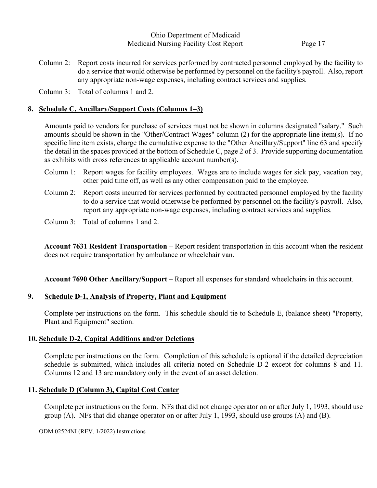Column 2: Report costs incurred for services performed by contracted personnel employed by the facility to do a service that would otherwise be performed by personnel on the facility's payroll. Also, report any appropriate non-wage expenses, including contract services and supplies.

Column 3: Total of columns 1 and 2.

# **8. Schedule C, Ancillary/Support Costs (Columns 1–3)**

Amounts paid to vendors for purchase of services must not be shown in columns designated "salary." Such amounts should be shown in the "Other/Contract Wages" column (2) for the appropriate line item(s). If no specific line item exists, charge the cumulative expense to the "Other Ancillary/Support" line 63 and specify the detail in the spaces provided at the bottom of Schedule C, page 2 of 3. Provide supporting documentation as exhibits with cross references to applicable account number(s).

- Column 1: Report wages for facility employees. Wages are to include wages for sick pay, vacation pay, other paid time off, as well as any other compensation paid to the employee.
- Column 2: Report costs incurred for services performed by contracted personnel employed by the facility to do a service that would otherwise be performed by personnel on the facility's payroll. Also, report any appropriate non-wage expenses, including contract services and supplies.
- Column 3: Total of columns 1 and 2.

**Account 7631 Resident Transportation** – Report resident transportation in this account when the resident does not require transportation by ambulance or wheelchair van.

**Account 7690 Other Ancillary/Support** – Report all expenses for standard wheelchairs in this account.

# **9. Schedule D-1, Analysis of Property, Plant and Equipment**

Complete per instructions on the form. This schedule should tie to Schedule E, (balance sheet) "Property, Plant and Equipment" section.

# **10. Schedule D-2, Capital Additions and/or Deletions**

Complete per instructions on the form. Completion of this schedule is optional if the detailed depreciation schedule is submitted, which includes all criteria noted on Schedule D-2 except for columns 8 and 11. Columns 12 and 13 are mandatory only in the event of an asset deletion.

# **11. Schedule D (Column 3), Capital Cost Center**

Complete per instructions on the form. NFs that did not change operator on or after July 1, 1993, should use group (A). NFs that did change operator on or after July 1, 1993, should use groups (A) and (B).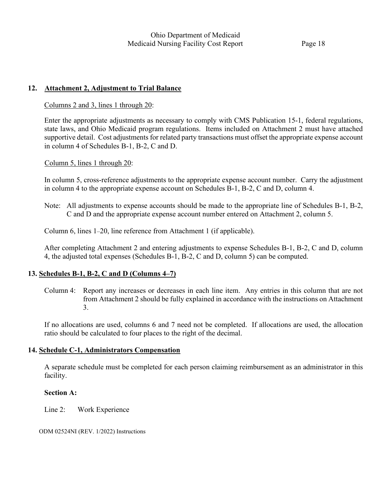# **12. Attachment 2, Adjustment to Trial Balance**

#### Columns 2 and 3, lines 1 through 20:

Enter the appropriate adjustments as necessary to comply with CMS Publication 15-1, federal regulations, state laws, and Ohio Medicaid program regulations. Items included on Attachment 2 must have attached supportive detail. Cost adjustments for related party transactions must offset the appropriate expense account in column 4 of Schedules B-1, B-2, C and D.

Column 5, lines 1 through 20:

In column 5, cross-reference adjustments to the appropriate expense account number. Carry the adjustment in column 4 to the appropriate expense account on Schedules B-1, B-2, C and D, column 4.

Note: All adjustments to expense accounts should be made to the appropriate line of Schedules B-1, B-2, C and D and the appropriate expense account number entered on Attachment 2, column 5.

Column 6, lines 1–20, line reference from Attachment 1 (if applicable).

After completing Attachment 2 and entering adjustments to expense Schedules B-1, B-2, C and D, column 4, the adjusted total expenses (Schedules B-1, B-2, C and D, column 5) can be computed.

## **13. Schedules B-1, B-2, C and D (Columns 4–7)**

Column 4: Report any increases or decreases in each line item. Any entries in this column that are not from Attachment 2 should be fully explained in accordance with the instructions on Attachment 3.

If no allocations are used, columns 6 and 7 need not be completed. If allocations are used, the allocation ratio should be calculated to four places to the right of the decimal.

## **14. Schedule C-1, Administrators Compensation**

A separate schedule must be completed for each person claiming reimbursement as an administrator in this facility.

## **Section A:**

Line 2: Work Experience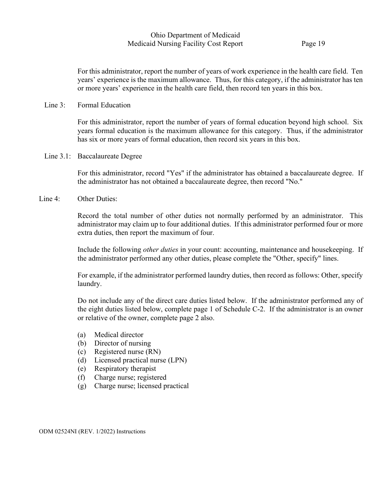For this administrator, report the number of years of work experience in the health care field. Ten years' experience is the maximum allowance. Thus, for this category, if the administrator has ten or more years' experience in the health care field, then record ten years in this box.

#### Line 3: Formal Education

For this administrator, report the number of years of formal education beyond high school. Six years formal education is the maximum allowance for this category. Thus, if the administrator has six or more years of formal education, then record six years in this box.

Line 3.1: Baccalaureate Degree

For this administrator, record "Yes" if the administrator has obtained a baccalaureate degree. If the administrator has not obtained a baccalaureate degree, then record "No."

Line 4: Other Duties:

Record the total number of other duties not normally performed by an administrator. This administrator may claim up to four additional duties. If this administrator performed four or more extra duties, then report the maximum of four.

Include the following *other duties* in your count: accounting, maintenance and housekeeping. If the administrator performed any other duties, please complete the "Other, specify" lines.

For example, if the administrator performed laundry duties, then record as follows: Other, specify laundry.

Do not include any of the direct care duties listed below. If the administrator performed any of the eight duties listed below, complete page 1 of Schedule C-2. If the administrator is an owner or relative of the owner, complete page 2 also.

- (a) Medical director
- (b) Director of nursing
- (c) Registered nurse (RN)
- (d) Licensed practical nurse (LPN)
- (e) Respiratory therapist
- (f) Charge nurse; registered
- (g) Charge nurse; licensed practical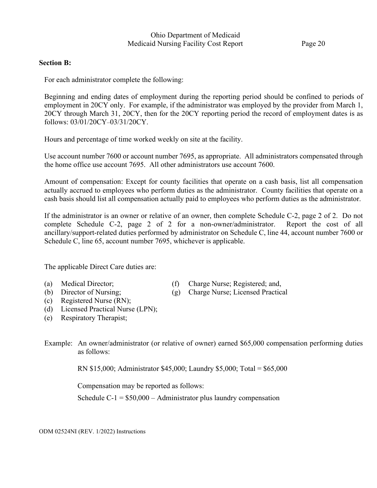## **Section B:**

For each administrator complete the following:

Beginning and ending dates of employment during the reporting period should be confined to periods of employment in 20CY only. For example, if the administrator was employed by the provider from March 1, 20CY through March 31, 20CY, then for the 20CY reporting period the record of employment dates is as follows: 03/01/20CY–03/31/20CY.

Hours and percentage of time worked weekly on site at the facility.

Use account number 7600 or account number 7695, as appropriate. All administrators compensated through the home office use account 7695. All other administrators use account 7600.

Amount of compensation: Except for county facilities that operate on a cash basis, list all compensation actually accrued to employees who perform duties as the administrator. County facilities that operate on a cash basis should list all compensation actually paid to employees who perform duties as the administrator.

If the administrator is an owner or relative of an owner, then complete Schedule C-2, page 2 of 2. Do not complete Schedule C-2, page 2 of 2 for a non-owner/administrator. Report the cost of all ancillary/support-related duties performed by administrator on Schedule C, line 44, account number 7600 or Schedule C, line 65, account number 7695, whichever is applicable.

The applicable Direct Care duties are:

- 
- (a) Medical Director; (f) Charge Nurse; Registered; and,
- (b) Director of Nursing; (g) Charge Nurse; Licensed Practical
- (c) Registered Nurse (RN);
- (d) Licensed Practical Nurse (LPN);
- (e) Respiratory Therapist;
- Example: An owner/administrator (or relative of owner) earned \$65,000 compensation performing duties as follows:

RN \$15,000; Administrator \$45,000; Laundry \$5,000; Total = \$65,000

Compensation may be reported as follows:

Schedule C-1 =  $$50,000$  – Administrator plus laundry compensation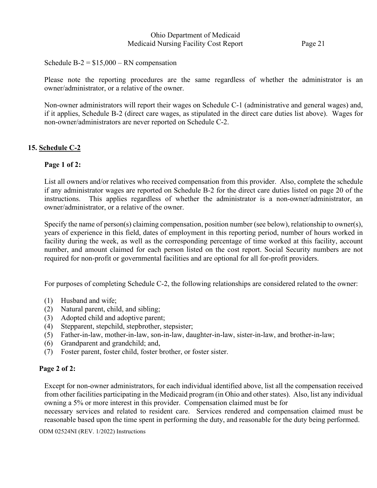Schedule  $B-2 = $15,000 - RN$  compensation

Please note the reporting procedures are the same regardless of whether the administrator is an owner/administrator, or a relative of the owner.

Non-owner administrators will report their wages on Schedule C-1 (administrative and general wages) and, if it applies, Schedule B-2 (direct care wages, as stipulated in the direct care duties list above). Wages for non-owner/administrators are never reported on Schedule C-2.

# **15. Schedule C-2**

# **Page 1 of 2:**

List all owners and/or relatives who received compensation from this provider. Also, complete the schedule if any administrator wages are reported on Schedule B-2 for the direct care duties listed on page 20 of the instructions. This applies regardless of whether the administrator is a non-owner/administrator, an owner/administrator, or a relative of the owner.

Specify the name of person(s) claiming compensation, position number (see below), relationship to owner(s), years of experience in this field, dates of employment in this reporting period, number of hours worked in facility during the week, as well as the corresponding percentage of time worked at this facility, account number, and amount claimed for each person listed on the cost report. Social Security numbers are not required for non-profit or governmental facilities and are optional for all for-profit providers.

For purposes of completing Schedule C-2, the following relationships are considered related to the owner:

- (1) Husband and wife;
- (2) Natural parent, child, and sibling;
- (3) Adopted child and adoptive parent;
- (4) Stepparent, stepchild, stepbrother, stepsister;
- (5) Father-in-law, mother-in-law, son-in-law, daughter-in-law, sister-in-law, and brother-in-law;
- (6) Grandparent and grandchild; and,
- (7) Foster parent, foster child, foster brother, or foster sister.

## **Page 2 of 2:**

Except for non-owner administrators, for each individual identified above, list all the compensation received from other facilities participating in the Medicaid program (in Ohio and other states). Also, list any individual owning a 5% or more interest in this provider. Compensation claimed must be for

necessary services and related to resident care. Services rendered and compensation claimed must be reasonable based upon the time spent in performing the duty, and reasonable for the duty being performed.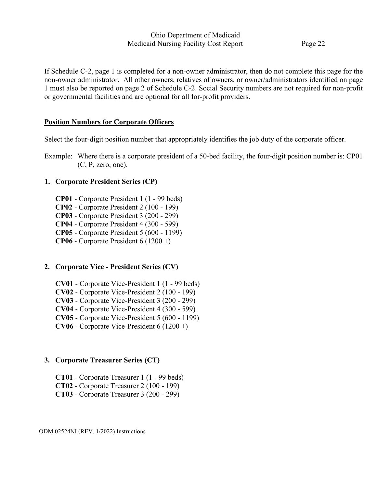If Schedule C-2, page 1 is completed for a non-owner administrator, then do not complete this page for the non-owner administrator. All other owners, relatives of owners, or owner/administrators identified on page 1 must also be reported on page 2 of Schedule C-2. Social Security numbers are not required for non-profit or governmental facilities and are optional for all for-profit providers.

# **Position Numbers for Corporate Officers**

Select the four-digit position number that appropriately identifies the job duty of the corporate officer.

Example: Where there is a corporate president of a 50-bed facility, the four-digit position number is: CP01 (C, P, zero, one).

# **1. Corporate President Series (CP)**

- **CP01** Corporate President 1 (1 99 beds)
- **CP02** Corporate President 2 (100 199)
- **CP03** Corporate President 3 (200 299)
- **CP04** Corporate President 4 (300 599)
- **CP05** Corporate President 5 (600 1199)
- **CP06** Corporate President 6 (1200 +)

# **2. Corporate Vice - President Series (CV)**

- **CV01** Corporate Vice-President 1 (1 99 beds)
- **CV02** Corporate Vice-President 2 (100 199)
- **CV03** Corporate Vice-President 3 (200 299)
- **CV04** Corporate Vice-President 4 (300 599)
- **CV05** Corporate Vice-President 5 (600 1199)
- **CV06** Corporate Vice-President  $6(1200 +)$

# **3. Corporate Treasurer Series (CT)**

- **CT01** Corporate Treasurer 1 (1 99 beds)
- **CT02** Corporate Treasurer 2 (100 199)
- **CT03** Corporate Treasurer 3 (200 299)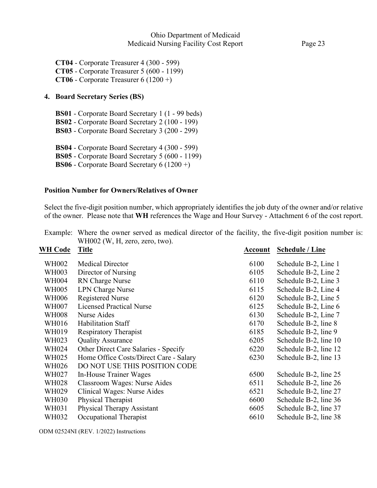**CT04** - Corporate Treasurer 4 (300 - 599) **CT05** - Corporate Treasurer 5 (600 - 1199) **CT06** - Corporate Treasurer 6 (1200 +)

### **4. Board Secretary Series (BS)**

**BS01** - Corporate Board Secretary 1 (1 - 99 beds)

**BS02** - Corporate Board Secretary 2 (100 - 199)

**BS03** - Corporate Board Secretary 3 (200 - 299)

**BS04** - Corporate Board Secretary 4 (300 - 599)

**BS05** - Corporate Board Secretary 5 (600 - 1199)

**BS06** - Corporate Board Secretary 6 (1200 +)

### **Position Number for Owners/Relatives of Owner**

Select the five-digit position number, which appropriately identifies the job duty of the owner and/or relative of the owner. Please note that **WH** references the Wage and Hour Survey - Attachment 6 of the cost report.

|                | WH002 (W, H, zero, zero, two).              |         |                        |
|----------------|---------------------------------------------|---------|------------------------|
| <b>WH Code</b> | <b>Title</b>                                | Account | <b>Schedule / Line</b> |
| WH002          | <b>Medical Director</b>                     | 6100    | Schedule B-2, Line 1   |
| <b>WH003</b>   | Director of Nursing                         | 6105    | Schedule B-2, Line 2   |
| <b>WH004</b>   | RN Charge Nurse                             | 6110    | Schedule B-2, Line 3   |
| <b>WH005</b>   | <b>LPN Charge Nurse</b>                     | 6115    | Schedule B-2, Line 4   |
| <b>WH006</b>   | <b>Registered Nurse</b>                     | 6120    | Schedule B-2, Line 5   |
| <b>WH007</b>   | <b>Licensed Practical Nurse</b>             | 6125    | Schedule B-2, Line 6   |
| <b>WH008</b>   | Nurse Aides                                 | 6130    | Schedule B-2, Line 7   |
| WH016          | Habilitation Staff                          | 6170    | Schedule B-2, line 8   |
| WH019          | <b>Respiratory Therapist</b>                | 6185    | Schedule B-2, line 9   |
| WH023          | <b>Quality Assurance</b>                    | 6205    | Schedule B-2, line 10  |
| WH024          | <b>Other Direct Care Salaries - Specify</b> | 6220    | Schedule B-2, line 12  |
| WH025          | Home Office Costs/Direct Care - Salary      | 6230    | Schedule B-2, line 13  |
| WH026          | DO NOT USE THIS POSITION CODE               |         |                        |
| WH027          | In-House Trainer Wages                      | 6500    | Schedule B-2, line 25  |
| <b>WH028</b>   | Classroom Wages: Nurse Aides                | 6511    | Schedule B-2, line 26  |
| WH029          | Clinical Wages: Nurse Aides                 | 6521    | Schedule B-2, line 27  |
| <b>WH030</b>   | Physical Therapist                          | 6600    | Schedule B-2, line 36  |
| WH031          | Physical Therapy Assistant                  | 6605    | Schedule B-2, line 37  |
| WH032          | Occupational Therapist                      | 6610    | Schedule B-2, line 38  |

| Example: Where the owner served as medical director of the facility, the five-digit position number is: |  |  |  |  |
|---------------------------------------------------------------------------------------------------------|--|--|--|--|
| $WH002$ (W, H, zero, zero, two).                                                                        |  |  |  |  |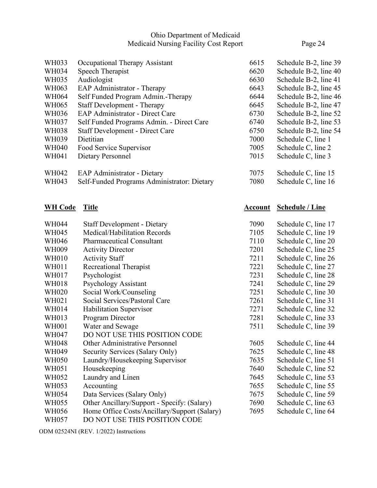| WH033        | Occupational Therapy Assistant              | 6615 | Schedule B-2, line 39 |
|--------------|---------------------------------------------|------|-----------------------|
| WH034        | Speech Therapist                            | 6620 | Schedule B-2, line 40 |
| WH035        | Audiologist                                 | 6630 | Schedule B-2, line 41 |
| WH063        | EAP Administrator - Therapy                 | 6643 | Schedule B-2, line 45 |
| WH064        | Self Funded Program Admin.-Therapy          | 6644 | Schedule B-2, line 46 |
| WH065        | <b>Staff Development - Therapy</b>          | 6645 | Schedule B-2, line 47 |
| WH036        | <b>EAP Administrator - Direct Care</b>      | 6730 | Schedule B-2, line 52 |
| WH037        | Self Funded Programs Admin. - Direct Care   | 6740 | Schedule B-2, line 53 |
| <b>WH038</b> | <b>Staff Development - Direct Care</b>      | 6750 | Schedule B-2, line 54 |
| WH039        | Dietitian                                   | 7000 | Schedule C, line 1    |
| <b>WH040</b> | Food Service Supervisor                     | 7005 | Schedule C, line 2    |
| WH041        | Dietary Personnel                           | 7015 | Schedule C, line 3    |
| WH042        | <b>EAP Administrator - Dietary</b>          | 7075 | Schedule C, line 15   |
| WH043        | Self-Funded Programs Administrator: Dietary | 7080 | Schedule C, line 16   |

# **WH Code Title Account Schedule / Line**

| <b>WH044</b> | <b>Staff Development - Dietary</b>           | 7090 | Schedule C, line 17 |
|--------------|----------------------------------------------|------|---------------------|
| <b>WH045</b> | Medical/Habilitation Records                 | 7105 | Schedule C, line 19 |
| WH046        | <b>Pharmaceutical Consultant</b>             | 7110 | Schedule C, line 20 |
| WH009        | <b>Activity Director</b>                     | 7201 | Schedule C, line 25 |
| <b>WH010</b> | <b>Activity Staff</b>                        | 7211 | Schedule C, line 26 |
| WH011        | Recreational Therapist                       | 7221 | Schedule C, line 27 |
| WH017        | Psychologist                                 | 7231 | Schedule C, line 28 |
| WH018        | Psychology Assistant                         | 7241 | Schedule C, line 29 |
| <b>WH020</b> | Social Work/Counseling                       | 7251 | Schedule C, line 30 |
| WH021        | Social Services/Pastoral Care                | 7261 | Schedule C, line 31 |
| WH014        | Habilitation Supervisor                      | 7271 | Schedule C, line 32 |
| WH013        | Program Director                             | 7281 | Schedule C, line 33 |
| <b>WH001</b> | Water and Sewage                             | 7511 | Schedule C, line 39 |
| WH047        | DO NOT USE THIS POSITION CODE                |      |                     |
| <b>WH048</b> | Other Administrative Personnel               | 7605 | Schedule C, line 44 |
| WH049        | Security Services (Salary Only)              | 7625 | Schedule C, line 48 |
| <b>WH050</b> | Laundry/Housekeeping Supervisor              | 7635 | Schedule C, line 51 |
| WH051        | Housekeeping                                 | 7640 | Schedule C, line 52 |
| <b>WH052</b> | Laundry and Linen                            | 7645 | Schedule C, line 53 |
| WH053        | Accounting                                   | 7655 | Schedule C, line 55 |
| WH054        | Data Services (Salary Only)                  | 7675 | Schedule C, line 59 |
| WH055        | Other Ancillary/Support - Specify: (Salary)  | 7690 | Schedule C, line 63 |
| WH056        | Home Office Costs/Ancillary/Support (Salary) | 7695 | Schedule C, line 64 |
| WH057        | DO NOT USE THIS POSITION CODE                |      |                     |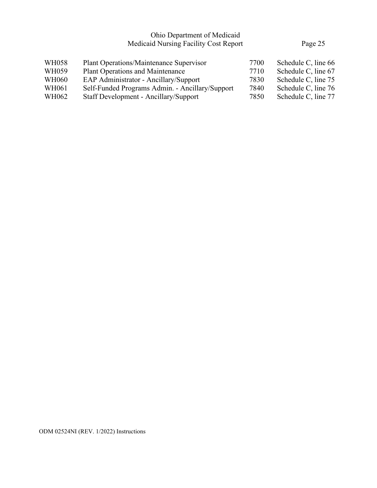| Plant Operations/Maintenance Supervisor         | 7700 | Schedule C, line 66 |
|-------------------------------------------------|------|---------------------|
| <b>Plant Operations and Maintenance</b>         | 7710 | Schedule C, line 67 |
| EAP Administrator - Ancillary/Support           | 7830 | Schedule C, line 75 |
| Self-Funded Programs Admin. - Ancillary/Support | 7840 | Schedule C, line 76 |
| Staff Development - Ancillary/Support           | 7850 | Schedule C, line 77 |
|                                                 |      |                     |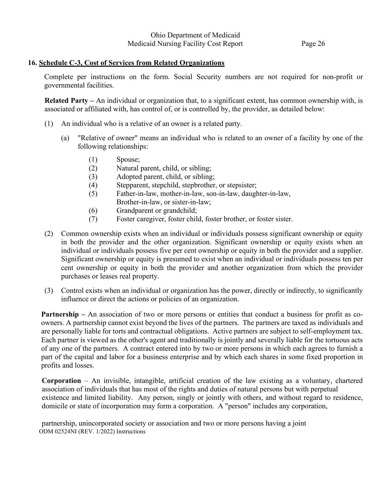## **16. Schedule C-3, Cost of Services from Related Organizations**

Complete per instructions on the form. Social Security numbers are not required for non-profit or governmental facilities.

**Related Party –** An individual or organization that, to a significant extent, has common ownership with, is associated or affiliated with, has control of, or is controlled by, the provider, as detailed below:

- (1) An individual who is a relative of an owner is a related party.
	- (a) "Relative of owner" means an individual who is related to an owner of a facility by one of the following relationships:
		- (1) Spouse;
		- (2) Natural parent, child, or sibling;
		- (3) Adopted parent, child, or sibling;
		- (4) Stepparent, stepchild, stepbrother, or stepsister;
		- (5) Father-in-law, mother-in-law, son-in-law, daughter-in-law,
			- Brother-in-law, or sister-in-law;
		- (6) Grandparent or grandchild;
		- (7) Foster caregiver, foster child, foster brother, or foster sister.
- (2) Common ownership exists when an individual or individuals possess significant ownership or equity in both the provider and the other organization. Significant ownership or equity exists when an individual or individuals possess five per cent ownership or equity in both the provider and a supplier. Significant ownership or equity is presumed to exist when an individual or individuals possess ten per cent ownership or equity in both the provider and another organization from which the provider purchases or leases real property.
- (3) Control exists when an individual or organization has the power, directly or indirectly, to significantly influence or direct the actions or policies of an organization.

**Partnership** – An association of two or more persons or entities that conduct a business for profit as coowners. A partnership cannot exist beyond the lives of the partners. The partners are taxed as individuals and are personally liable for torts and contractual obligations. Active partners are subject to self-employment tax. Each partner is viewed as the other's agent and traditionally is jointly and severally liable for the tortuous acts of any one of the partners. A contract entered into by two or more persons in which each agrees to furnish a part of the capital and labor for a business enterprise and by which each shares in some fixed proportion in profits and losses.

**Corporation** – An invisible, intangible, artificial creation of the law existing as a voluntary, chartered association of individuals that has most of the rights and duties of natural persons but with perpetual existence and limited liability. Any person, singly or jointly with others, and without regard to residence, domicile or state of incorporation may form a corporation. A "person" includes any corporation,

ODM 02524NI (REV. 1/2022) Instructions partnership, unincorporated society or association and two or more persons having a joint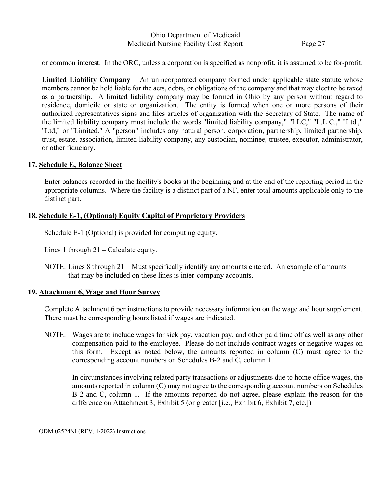or common interest. In the ORC, unless a corporation is specified as nonprofit, it is assumed to be for-profit.

**Limited Liability Company** – An unincorporated company formed under applicable state statute whose members cannot be held liable for the acts, debts, or obligations of the company and that may elect to be taxed as a partnership. A limited liability company may be formed in Ohio by any person without regard to residence, domicile or state or organization. The entity is formed when one or more persons of their authorized representatives signs and files articles of organization with the Secretary of State. The name of the limited liability company must include the words "limited liability company," "LLC," "L.L.C.," "Ltd.," "Ltd," or "Limited." A "person" includes any natural person, corporation, partnership, limited partnership, trust, estate, association, limited liability company, any custodian, nominee, trustee, executor, administrator, or other fiduciary.

#### **17. Schedule E, Balance Sheet**

Enter balances recorded in the facility's books at the beginning and at the end of the reporting period in the appropriate columns. Where the facility is a distinct part of a NF, enter total amounts applicable only to the distinct part.

#### **18. Schedule E-1, (Optional) Equity Capital of Proprietary Providers**

Schedule E-1 (Optional) is provided for computing equity.

Lines 1 through 21 – Calculate equity.

NOTE: Lines 8 through 21 – Must specifically identify any amounts entered. An example of amounts that may be included on these lines is inter-company accounts.

#### **19. Attachment 6, Wage and Hour Survey**

Complete Attachment 6 per instructions to provide necessary information on the wage and hour supplement. There must be corresponding hours listed if wages are indicated.

NOTE: Wages are to include wages for sick pay, vacation pay, and other paid time off as well as any other compensation paid to the employee. Please do not include contract wages or negative wages on this form. Except as noted below, the amounts reported in column (C) must agree to the corresponding account numbers on Schedules B-2 and C, column 1.

In circumstances involving related party transactions or adjustments due to home office wages, the amounts reported in column (C) may not agree to the corresponding account numbers on Schedules B-2 and C, column 1. If the amounts reported do not agree, please explain the reason for the difference on Attachment 3, Exhibit 5 (or greater [i.e., Exhibit 6, Exhibit 7, etc.])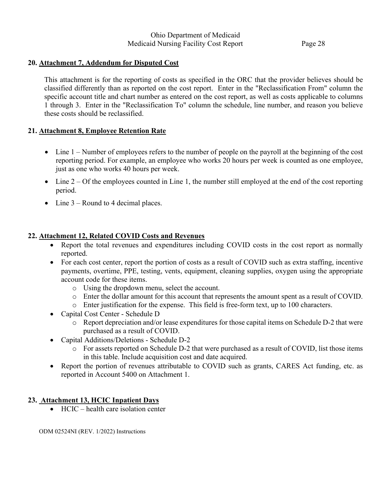# **20. Attachment 7, Addendum for Disputed Cost**

This attachment is for the reporting of costs as specified in the ORC that the provider believes should be classified differently than as reported on the cost report. Enter in the "Reclassification From" column the specific account title and chart number as entered on the cost report, as well as costs applicable to columns 1 through 3. Enter in the "Reclassification To" column the schedule, line number, and reason you believe these costs should be reclassified.

# **21. Attachment 8, Employee Retention Rate**

- Line 1 Number of employees refers to the number of people on the payroll at the beginning of the cost reporting period. For example, an employee who works 20 hours per week is counted as one employee, just as one who works 40 hours per week.
- Line  $2 Of$  the employees counted in Line 1, the number still employed at the end of the cost reporting period.
- Line  $3$  Round to 4 decimal places.

# **22. Attachment 12, Related COVID Costs and Revenues**

- Report the total revenues and expenditures including COVID costs in the cost report as normally reported.
- For each cost center, report the portion of costs as a result of COVID such as extra staffing, incentive payments, overtime, PPE, testing, vents, equipment, cleaning supplies, oxygen using the appropriate account code for these items.
	- o Using the dropdown menu, select the account.
	- o Enter the dollar amount for this account that represents the amount spent as a result of COVID.
	- o Enter justification for the expense. This field is free-form text, up to 100 characters.
- Capital Cost Center Schedule D
	- o Report depreciation and/or lease expenditures for those capital items on Schedule D-2 that were purchased as a result of COVID.
- Capital Additions/Deletions Schedule D-2
	- o For assets reported on Schedule D-2 that were purchased as a result of COVID, list those items in this table. Include acquisition cost and date acquired.
- Report the portion of revenues attributable to COVID such as grants, CARES Act funding, etc. as reported in Account 5400 on Attachment 1.

## **23. Attachment 13, HCIC Inpatient Days**

• HCIC – health care isolation center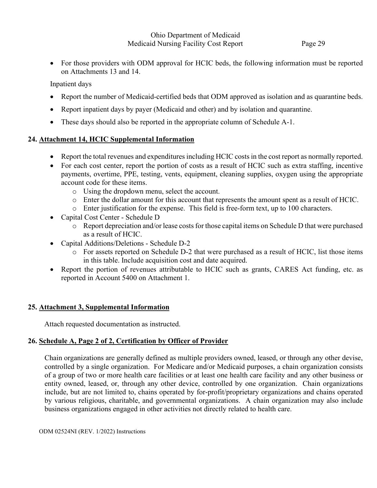• For those providers with ODM approval for HCIC beds, the following information must be reported on Attachments 13 and 14.

Inpatient days

- Report the number of Medicaid-certified beds that ODM approved as isolation and as quarantine beds.
- Report inpatient days by payer (Medicaid and other) and by isolation and quarantine.
- These days should also be reported in the appropriate column of Schedule A-1.

# **24. Attachment 14, HCIC Supplemental Information**

- Report the total revenues and expenditures including HCIC costs in the cost report as normally reported.
- For each cost center, report the portion of costs as a result of HCIC such as extra staffing, incentive payments, overtime, PPE, testing, vents, equipment, cleaning supplies, oxygen using the appropriate account code for these items.
	- o Using the dropdown menu, select the account.
	- o Enter the dollar amount for this account that represents the amount spent as a result of HCIC.
	- o Enter justification for the expense. This field is free-form text, up to 100 characters.
- Capital Cost Center Schedule D
	- o Report depreciation and/or lease costs for those capital items on Schedule D that were purchased as a result of HCIC.
- Capital Additions/Deletions Schedule D-2
	- o For assets reported on Schedule D-2 that were purchased as a result of HCIC, list those items in this table. Include acquisition cost and date acquired.
- Report the portion of revenues attributable to HCIC such as grants, CARES Act funding, etc. as reported in Account 5400 on Attachment 1.

# **25. Attachment 3, Supplemental Information**

Attach requested documentation as instructed.

# **26. Schedule A, Page 2 of 2, Certification by Officer of Provider**

Chain organizations are generally defined as multiple providers owned, leased, or through any other devise, controlled by a single organization. For Medicare and/or Medicaid purposes, a chain organization consists of a group of two or more health care facilities or at least one health care facility and any other business or entity owned, leased, or, through any other device, controlled by one organization. Chain organizations include, but are not limited to, chains operated by for-profit/proprietary organizations and chains operated by various religious, charitable, and governmental organizations. A chain organization may also include business organizations engaged in other activities not directly related to health care.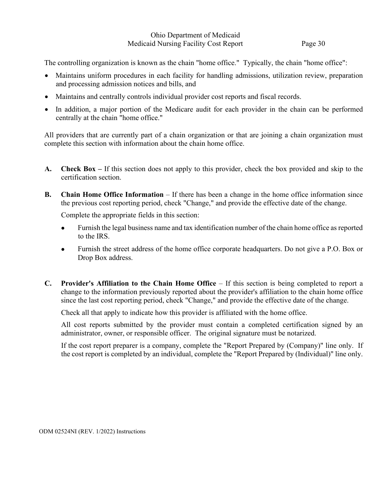The controlling organization is known as the chain "home office." Typically, the chain "home office":

- Maintains uniform procedures in each facility for handling admissions, utilization review, preparation and processing admission notices and bills, and
- Maintains and centrally controls individual provider cost reports and fiscal records.
- In addition, a major portion of the Medicare audit for each provider in the chain can be performed centrally at the chain "home office."

All providers that are currently part of a chain organization or that are joining a chain organization must complete this section with information about the chain home office.

- **A. Check Box –** If this section does not apply to this provider, check the box provided and skip to the certification section.
- **B. Chain Home Office Information** If there has been a change in the home office information since the previous cost reporting period, check "Change," and provide the effective date of the change.

Complete the appropriate fields in this section:

- Furnish the legal business name and tax identification number of the chain home office as reported to the IRS.
- Furnish the street address of the home office corporate headquarters. Do not give a P.O. Box or Drop Box address.
- **C. Provider's Affiliation to the Chain Home Office** If this section is being completed to report a change to the information previously reported about the provider's affiliation to the chain home office since the last cost reporting period, check "Change," and provide the effective date of the change.

Check all that apply to indicate how this provider is affiliated with the home office.

All cost reports submitted by the provider must contain a completed certification signed by an administrator, owner, or responsible officer. The original signature must be notarized.

If the cost report preparer is a company, complete the "Report Prepared by (Company)" line only. If the cost report is completed by an individual, complete the "Report Prepared by (Individual)" line only.